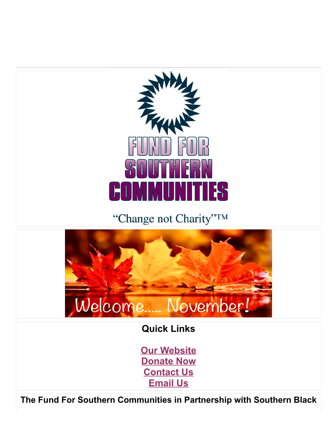

"Change not Charity"TM



**Quick Links**

**[Our Website](https://www.fundforsouth.org/) [Donate Now](https://app.etapestry.com/hosted/FundforSouthernCommunities/OnlineGiving.html) [Contact Us](http://404-371-8404/) [Email Us](mailto:fsc@fundforsouth.org)**

**The Fund For Southern Communities in Partnership with Southern Black**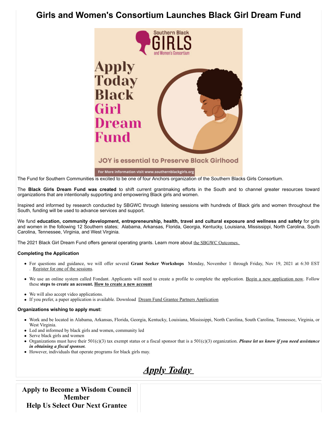# **Girls and Women's Consortium Launches Black Girl Dream Fund**



### **JOY is essential to Preserve Black Girlhood**

#### For More information visit www.southernblackgirls.org

The Fund for Southern Communities is excited to be one of four Anchors organization of the Southern Blacks Girls Consortium.

The **Black Girls Dream Fund was created** to shift current grantmaking efforts in the South and to channel greater resources toward organizations that are intentionally supporting and empowering Black girls and women.

Inspired and informed by research conducted by SBGWC through listening sessions with hundreds of Black girls and women throughout the South, funding will be used to advance services and support.

We fund **education, community development, entrepreneurship, health, travel and cultural exposure and wellness and safety** for girls and women in the following 12 Southern states; Alabama, Arkansas, Florida, Georgia, Kentucky, Louisiana, Mississippi, North Carolina, South Carolina, Tennessee, Virginia, and West Virginia.

The 2021 Black Girl Dream Fund offers general operating grants. Learn more about [the SBGWC Outcomes.](https://www.southernblackgirls.org/wp-content/uploads/2021/11/SBGWC-Outcomes.pdf) 

#### **Completing the Application**

- For questions and guidance, we will offer several **Grant Seeker Workshops** Monday, November 1 through Friday, Nov 19, 2021 at 6:30 EST [Register for one of the sessions](https://us02web.zoom.us/meeting/register/tZMrcOmtrjgrEt1uqlWnF7rifgZUE-5EyC5k).
- We use an online system called Fondant. Applicants will need to create a profile to complete the application. [Begin a new application now](https://www.grantinterface.com/Home/Logon?urlkey=sbgwc). Follow these **steps to create an account. [How to create a new account](https://www.southernblackgirls.org/wp-content/uploads/2021/11/How-to-create-an-new-account.pdf)**
- We will also accept video applications.
- If you prefer, a paper application is available. Download [Dream Fund Grantee Partners Application](https://www.southernblackgirls.org/wp-content/uploads/2021/11/Dream-Fund-Grantee-Partners-Application.pdf)

#### **Organizations wishing to apply must:**

- Work and be located in Alabama, Arkansas, Florida, Georgia, Kentucky, Louisiana, Mississippi, North Carolina, South Carolina, Tennessee, Virginia, or West Virginia.
- Led and informed by black girls and women, community led
- Serve black girls and women
- Organizations must have their 501(c)(3) tax exempt status or a fiscal sponsor that is a 501(c)(3) organization. *Please let us know if you need assistance in obtaining a fiscal sponsor.*
- However, individuals that operate programs for black girls may.



**Apply to Become a Wisdom Council Member Help Us Select Our Next Grantee**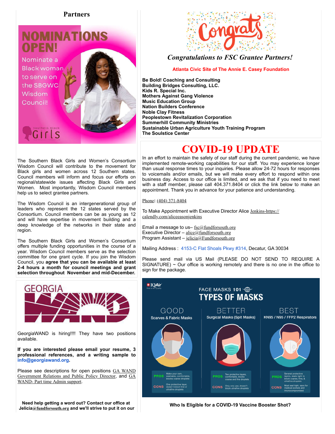#### **Partners**

# **NOMINAT** PENI

Nominate a **Black womar** to serve on the SBGWC Wisdom Council!

GIrls



### *Congratulations to FSC Grantee Partners!*

**Atlanta Civic Site of The Annie E. Casey Foundation**

**Be Bold! Coaching and Consulting Building Bridges Consulting, LLC. Kids R. Special Inc. Mothers Against Gang Violence Music Education Group Nation Builders Conference Noble Clay Fitness Peoplestown Revitalization Corporation Summerhill Community Ministries Sustainable Urban Agriculture Youth Training Program The Soulstice Center** 

# **COVID-19 UPDATE**

In an effort to maintain the safety of our staff during the current pandemic, we have implemented remote-working capabilities for our staff. You may experience longer than usual response times to your inquiries. Please allow 24-72 hours for responses to voicemails and/or emails, but we will make every effort to respond within one business day. Access to our office is limited, and we ask that if you need to meet with a staff member, please call 404.371.8404 or click the link below to make an appointment. Thank you in advance for your patience and understanding.

[Phone](https://www.google.com/search?client=safari&rls=en&biw=1440&bih=837&sxsrf=ALeKk01_ndGy0vB1SuSW19ENseRUE4ZKSg:1629823547373&q=fund+for+southern+communities+phone&ludocid=6261275828719581359&sa=X&ved=2ahUKEwi8lNnsjcryAhVUQjABHSI9DUcQ6BMwHXoECDMQAg)**:** [\(404\) 371-8404](https://www.google.com/search?q=fund+for+southern+communities&client=safari&rls=en&biw=1440&bih=837&sxsrf=ALeKk00ujNyvU24UrCU9ui0DDkv-avCkgw:1629823493643&ei=BSIlYbHIJuOGwbkP7debwAs&gs_ssp=eJzj4tZP1zcsKTLPNqsoMWC0UjWosLBIMzUwN04xsUhMS06xSLIyqDA1SzWxMDU2NEmyNEwDCnvJppXmpSik5RcpFOeXlmSkFuUpJOfn5pbmZZZkphYDAAKUGoc&oq=&gs_lcp=Cgdnd3Mtd2l6EAEYAjIHCCMQ6gIQJzIHCCMQ6gIQJzINCC4QxwEQrwEQ6gIQJzIHCCMQ6gIQJzIHCCMQ6gIQJzIHCCMQ6gIQJzINCC4QxwEQowIQ6gIQJzIHCCMQ6gIQJzIHCCMQ6gIQJzINCC4QxwEQrwEQ6gIQJ0oECEEYAFAAWABg35wDaAFwAngAgAFTiAFTkgEBMZgBAKABAbABCsABAQ&sclient=gws-wiz)

To Make Appointment with Executive Director Alice Jenkins-https:// calendly.com/aliceeasonjenkins

Email a message to us- $fsc@fundforsouth.org$ Executive Director –  $\text{alice}(\partial_1\text{fundforsouth.org})$ Program Assistant – [jelicia@Fundforsouth.org](mailto:jelicia@Fundforsouth.org)

Mailing Address : [4153-C Flat Shoals Pkwy #314,](https://www.google.com/maps/search/4153-C+Flat+Shoals+Pkwy+%23314?entry=gmail&source=g) Decatur, GA 30034

Please send mail via US Mail (PLEASE DO NOT SEND TO REQUIRE A SIGNATURE)  $\sim$  Our office is working remotely and there is no one in the office to sign for the package.



**Who Is Eligible for a COVID-19 Vaccine Booster Shot?** 

The Southern Black Girls and Women's Consortium Wisdom Council will contribute to the movement for Black girls and women across 12 Southern states. Council members will inform and focus our efforts on regional/statewide issues affecting Black Girls and Women. Most importantly, Wisdom Council members help us to select grantee partners.

The Wisdom Council is an intergenerational group of leaders who represent the 12 states served by the Consortium. Council members can be as young as 12 and will have expertise in movement building and a deep knowledge of the networks in their state and region.

The Southern Black Girls and Women's Consortium offers multiple funding opportunities in the course of a year. Wisdom Council members serve as the selection committee for one grant cycle. If you join the Wisdom Council, you **agree that you can be available at least 2-4 hours a month for council meetings and grant selection throughout November and mid-December.**



GeorgiaWAND is hiring!!!! They have two positions available.

**If you are interested please email your resume, 3 professional references, and a writing sample to [info@georgiawand.org.](mailto:info@georgiawand.org)**

[Please see descriptions for open positions](https://gawand.org/wp-content/uploads/2021/09/GA-WAND-Government-Relations-and-Public-Policy-Director.pdf) GA WAND [Government Relations and Public Policy Director](https://gawand.org/wp-content/uploads/2021/09/GA-WAND-Part-time-Admin-support.pdf), and GA WAND- Part time Admin support.

**Need help getting a word out? Contact our office at Jelicia[@fundforsouth.org](mailto:program@fundforsouth.org) and we'll strive to put it on our**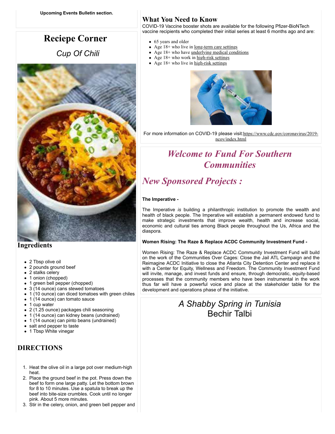# **Reciepe Corner**

 *Cup Of Chili*



### **Ingredients**

- 2 Tbsp olive oil
- 2 pounds ground beef
- 2 stalks celery
- 1 onion (chopped)
- 1 green bell pepper (chopped)
- 3 (14 ounce) cans stewed tomatoes
- 1 (10 ounce) can diced tomatoes with green chiles
- 1 (14 ounce) can tomato sauce
- 1 cup water
- 2 (1.25 ounce) packages chili seasoning
- 1 (14 ounce) can kidney beans (undrained)
- 1 (14 ounce) can pinto beans (undrained)
- salt and pepper to taste
- 1 Tbsp White vinegar

### **DIRECTIONS**

- 1. Heat the olive oil in a large pot over medium-high heat.
- 2. Place the ground beef in the pot. Press down the beef to form one large patty. Let the bottom brown for 8 to 10 minutes. Use a spatula to break up the beef into bite-size crumbles. Cook until no longer pink. About 5 more minutes.
- 3. Stir in the celery, onion, and green bell pepper and

### **What You Need to Know**

COVID-19 Vaccine booster shots are available for the following Pfizer-BioNTech vaccine recipients who completed their initial series at least 6 months ago and are:

- 65 years and older
- Age 18+ who live in <u>[long-term care settings](https://www.cdc.gov/coronavirus/2019-ncov/vaccines/booster-shot.html%23long-term-care)</u>
- $\bullet$  Age 18+ who have <u>underlying medical conditions</u>
- Age  $18+$  who work in [high-risk settings](https://www.cdc.gov/coronavirus/2019-ncov/vaccines/booster-shot.html%23HighRisk)
- Age  $18+$  who live in [high-risk settings](https://www.cdc.gov/coronavirus/2019-ncov/vaccines/booster-shot.html%23HighRisk)



For more information on COVID-19 please visit: [https://www.cdc.gov/coronavirus/2019](https://www.cdc.gov/coronavirus/2019-ncov/index.html) ncov/index.html

# *Welcome to Fund For Southern Communities*

# *New Sponsored Projects :*

#### **The Imperative -**

The Imperative *is* building a philanthropic institution to promote the wealth and health of black people. The Imperative will establish a permanent endowed fund to make strategic investments that improve wealth, health and increase social, economic and cultural ties among Black people throughout the Us, Africa and the diaspora.

#### **Women Rising: The Raze & Replace ACDC Community Investment Fund -**

Women Rising: The Raze & Replace ACDC Community Investment Fund will build on the work of the Communities Over Cages: Close the Jail ATL Campaign and the Reimagine ACDC Initiative to close the Atlanta City Detention Center and replace it with a Center for Equity, Wellness and Freedom. The Community Investment Fund will invite, manage, and invest funds and ensure, through democratic, equity-based processes that the community members who have been instrumental in the work thus far will have a powerful voice and place at the stakeholder table for the development and operations phase of the initiative.

### *A Shabby Spring in Tunisia*  Bechir Talbi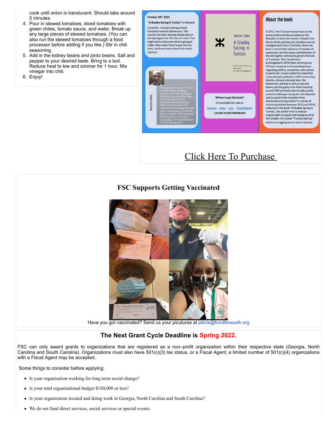cook until onion is translucent. Should take around 5 minutes.

- 4. Pour in stewed tomatoes, diced tomatoes with green chiles, tomato sauce, and water. Break up any large pieces of stewed tomatoes. (You can also run the stewed tomatoes through a food processor before adding if you like.) Stir in chili seasoning.
- 5. Add in the kidney beans and pinto beans. Salt and pepper to your desired taste. Bring to a boil. Reduce heat to low and simmer for 1 hour. Mix vinegar into chili.
- 6. Enjoy!



## [Click Here To Purchase](https://www.amazon.fr/Shabby-Spring-Tunisia-Democracy-Challenges-ebook/dp/B09KBCLXMG/ref=sr_1_1?__mk_fr_FR=%C3%85M%C3%85%C5%BD%C3%95%C3%91&dchild=1&keywords=les+livres+de+Mohamed+b%C3%A9chir+talbi&qid=1635867267&sr=8-1)

### **FSC Supports Getting Vaccinated**



Have you got vaccinated? Send us your picutures at [jelicia@fundforsouth.org](mailto:jelicia@fundforsouth.org)

#### **The Next Grant Cycle Deadline is Spring 2022.**

FSC can only award grants to organizations that are registered as a non–profit organization within their respective state (Georgia, North Carolina and South Carolina). Organizations must also have 501(c)(3) tax status, or a Fiscal Agent; a limited number of 501(c)(4) organizations with a Fiscal Agent may be accepted.

Some things to consider before applying:

- Is your organization working for long term social change?
- Is your total organizational budget \$150,000 or less?
- Is your organization located and doing work in Georgia, North Carolina and South Carolina?
- We do not fund direct services, social services or special events.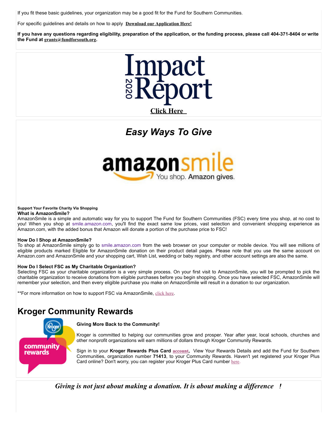If you fit these basic guidelines, your organization may be a good fit for the Fund for Southern Communities.

For specific guidelines and details on how to apply **[Download our Application Here!](https://www.fundforsouth.org/files_2015/GrantApplication2016.doc)**

**If you have any questions regarding eligibility, preparation of the application, or the funding process, please call 404-371-8404 or write the Fund at [grants@fundforsouth.org](mailto:grants@fundforsouth.org).**



# *Easy Ways To Give*



#### **Support Your Favorite Charity Via Shopping**

#### **What is AmazonSmile?**

AmazonSmile is a simple and automatic way for you to support The Fund for Southern Communities (FSC) every time you shop, at no cost to you! When you shop at [smile.amazon.com](http://smile.amazon.com/), you'll find the exact same low prices, vast selection and convenient shopping experience as Amazon.com, with the added bonus that Amazon will donate a portion of the purchase price to FSC!

#### **How Do I Shop at AmazonSmile?**

To shop at AmazonSmile simply go to [smile.amazon.com](http://smile.amazon.com/) from the web browser on your computer or mobile device. You will see millions of eligible products marked Eligible for AmazonSmile donation on their product detail pages. Please note that you use the same account on Amazon.com and AmazonSmile and your shopping cart, Wish List, wedding or baby registry, and other account settings are also the same.

#### **How Do I Select FSC as My Charitable Organization?**

Selecting FSC as your charitable organization is a very simple process. On your first visit to AmazonSmile, you will be prompted to pick the charitable organization to receive donations from eligible purchases before you begin shopping. Once you have selected FSC, AmazonSmile will remember your selection, and then every eligible purchase you make on AmazonSmile will result in a donation to our organization.

\*\*For more information on how to support FSC via AmazonSmile, [click here](http://smile.amazon.com/about/ref=smi_ge_rl_lm_raas).

### **Kroger Community Rewards**



#### **Giving More Back to the Community!**

Kroger is committed to helping our communities grow and prosper. Year after year, local schools, churches and other nonprofit organizations will earn millions of dollars through Kroger Community Rewards.

Sign in to your **Kroger Rewards Plus Card [account](https://www.kroger.com/communityrewards),** View Your Rewards Details and add the Fund for Southern Communities, organization number **71413**, to your Community Rewards. Haven't yet registered your Kroger Plus Card online? Don't worry, you can register your Kroger Plus Card number [here](https://www.kroger.com/communityrewards).

*Giving is not just about making a donation. It is about making a difference !*